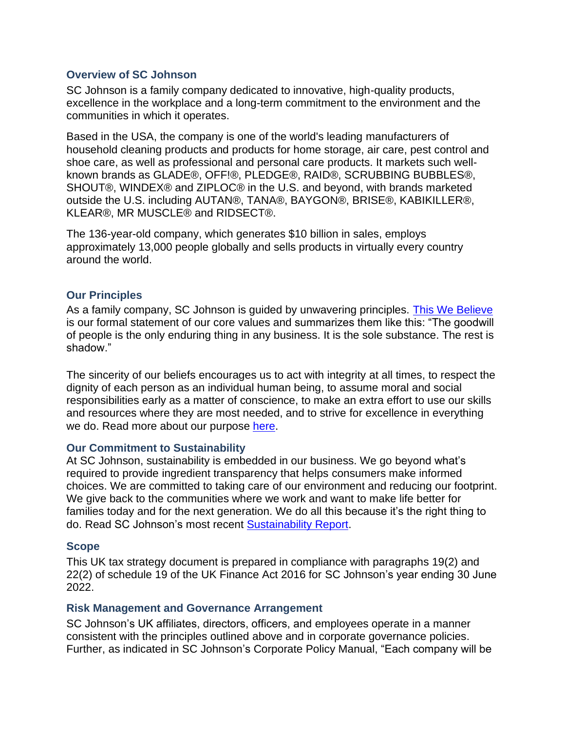### **Overview of SC Johnson**

SC Johnson is a family company dedicated to innovative, high-quality products, excellence in the workplace and a long-term commitment to the environment and the communities in which it operates.

Based in the USA, the company is one of the world's leading manufacturers of household cleaning products and products for home storage, air care, pest control and shoe care, as well as professional and personal care products. It markets such wellknown brands as GLADE®, OFF!®, PLEDGE®, RAID®, SCRUBBING BUBBLES®, SHOUT®, WINDEX® and ZIPLOC® in the U.S. and beyond, with brands marketed outside the U.S. including AUTAN®, TANA®, BAYGON®, BRISE®, KABIKILLER®, KLEAR®, MR MUSCLE® and RIDSECT®.

The 136-year-old company, which generates \$10 billion in sales, employs approximately 13,000 people globally and sells products in virtually every country around the world.

### **Our Principles**

As a family company, SC Johnson is guided by unwavering principles. This We Believe is our formal statement of our core values and summarizes them like this: "The goodwill of people is the only enduring thing in any business. It is the sole substance. The rest is shadow."

The sincerity of our beliefs encourages us to act with integrity at all times, to respect the dignity of each person as an individual human being, to assume moral and social responsibilities early as a matter of conscience, to make an extra effort to use our skills and resources where they are most needed, and to strive for excellence in everything we do. Read more about our purpose [here.](http://www.scjohnson.com/en/company/principles.aspx)

#### **Our Commitment to Sustainability**

At SC Johnson, sustainability is embedded in our business. We go beyond what's required to provide ingredient transparency that helps consumers make informed choices. We are committed to taking care of our environment and reducing our footprint. We give back to the communities where we work and want to make life better for families today and for the next generation. We do all this because it's the right thing to do. Read SC Johnson's most recent [Sustainability Report.](http://www.scjohnson.com/en/commitment/report.aspx)

## **Scope**

This UK tax strategy document is prepared in compliance with paragraphs 19(2) and 22(2) of schedule 19 of the UK Finance Act 2016 for SC Johnson's year ending 30 June 2022.

#### **Risk Management and Governance Arrangement**

SC Johnson's UK affiliates, directors, officers, and employees operate in a manner consistent with the principles outlined above and in corporate governance policies. Further, as indicated in SC Johnson's Corporate Policy Manual, "Each company will be